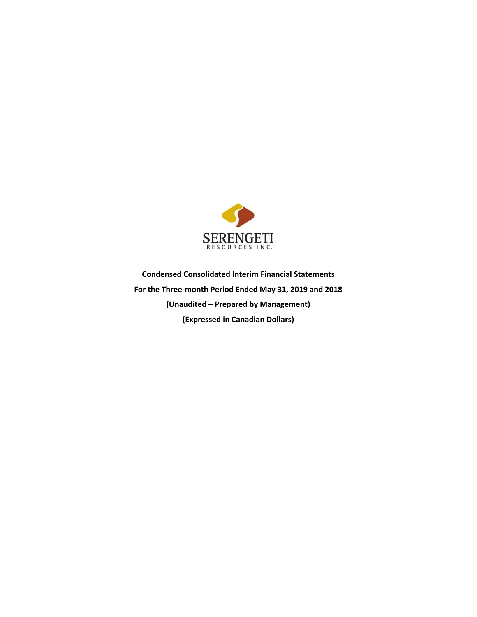

**Condensed Consolidated Interim Financial Statements For the Three-month Period Ended May 31, 2019 and 2018 (Unaudited – Prepared by Management) (Expressed in Canadian Dollars)**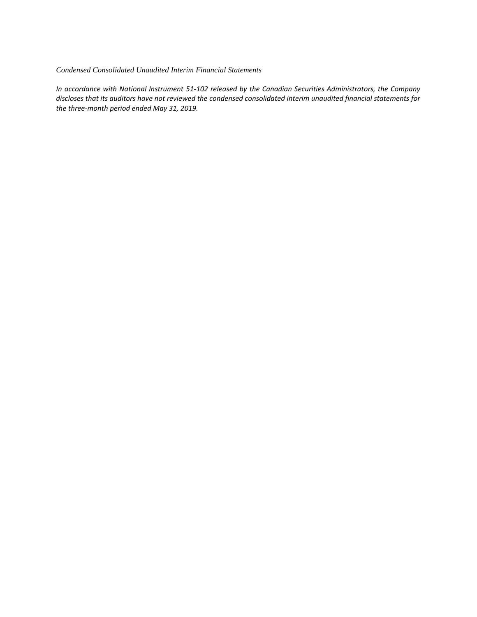#### *Condensed Consolidated Unaudited Interim Financial Statements*

*In accordance with National Instrument 51-102 released by the Canadian Securities Administrators, the Company discloses that its auditors have not reviewed the condensed consolidated interim unaudited financial statements for the three-month period ended May 31, 2019.*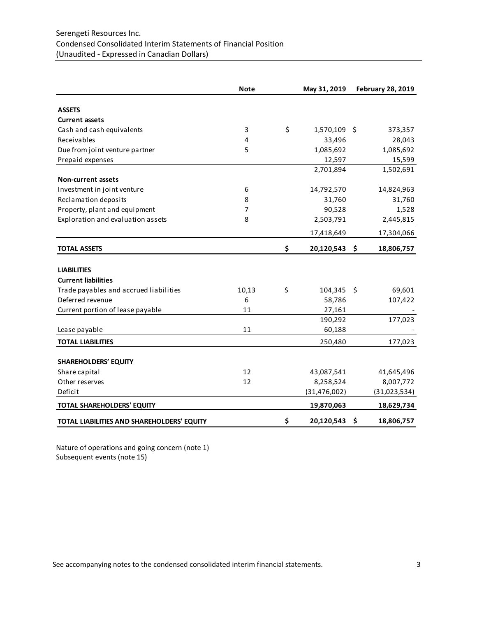# Serengeti Resources Inc. Condensed Consolidated Interim Statements of Financial Position (Unaudited - Expressed in Canadian Dollars)

|                                            | <b>Note</b> | May 31, 2019       |      | <b>February 28, 2019</b> |
|--------------------------------------------|-------------|--------------------|------|--------------------------|
|                                            |             |                    |      |                          |
| <b>ASSETS</b>                              |             |                    |      |                          |
| <b>Current assets</b>                      |             |                    |      |                          |
| Cash and cash equivalents                  | 3           | \$<br>1,570,109 \$ |      | 373,357                  |
| Receivables                                | 4           | 33,496             |      | 28,043                   |
| Due from joint venture partner             | 5           | 1,085,692          |      | 1,085,692                |
| Prepaid expenses                           |             | 12,597             |      | 15,599                   |
|                                            |             | 2,701,894          |      | 1,502,691                |
| <b>Non-current assets</b>                  |             |                    |      |                          |
| Investment in joint venture                | 6           | 14,792,570         |      | 14,824,963               |
| Reclamation deposits                       | 8           | 31,760             |      | 31,760                   |
| Property, plant and equipment              | 7           | 90,528             |      | 1,528                    |
| Exploration and evaluation assets          | 8           | 2,503,791          |      | 2,445,815                |
|                                            |             | 17,418,649         |      | 17,304,066               |
| <b>TOTAL ASSETS</b>                        |             | \$<br>20,120,543   | \$   | 18,806,757               |
| <b>LIABILITIES</b>                         |             |                    |      |                          |
| <b>Current liabilities</b>                 |             |                    |      |                          |
| Trade payables and accrued liabilities     | 10,13       | \$<br>104,345      | - \$ | 69,601                   |
| Deferred revenue                           | 6           | 58,786             |      | 107,422                  |
| Current portion of lease payable           | 11          | 27,161             |      |                          |
|                                            |             | 190,292            |      | 177,023                  |
| Lease payable                              | 11          | 60,188             |      |                          |
| <b>TOTAL LIABILITIES</b>                   |             | 250,480            |      | 177,023                  |
|                                            |             |                    |      |                          |
| SHAREHOLDERS' EQUITY                       |             |                    |      |                          |
| Share capital                              | 12          | 43,087,541         |      | 41,645,496               |
| Other reserves                             | 12          | 8,258,524          |      | 8,007,772                |
| Deficit                                    |             | (31, 476, 002)     |      | (31,023,534)             |
| TOTAL SHAREHOLDERS' EQUITY                 |             | 19,870,063         |      | 18,629,734               |
| TOTAL LIABILITIES AND SHAREHOLDERS' EQUITY |             | \$<br>20,120,543   | \$   | 18,806,757               |

Nature of operations and going concern (note 1) Subsequent events (note 15)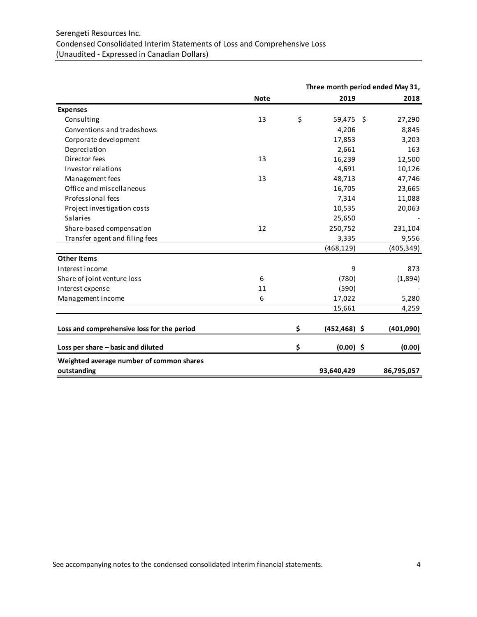|                                            |             | Three month period ended May 31, |            |
|--------------------------------------------|-------------|----------------------------------|------------|
|                                            | <b>Note</b> | 2019                             | 2018       |
| <b>Expenses</b>                            |             |                                  |            |
| Consulting                                 | 13          | \$<br>59,475<br>- \$             | 27,290     |
| Conventions and tradeshows                 |             | 4,206                            | 8,845      |
| Corporate development                      |             | 17,853                           | 3,203      |
| Depreciation                               |             | 2,661                            | 163        |
| Director fees                              | 13          | 16,239                           | 12,500     |
| Investor relations                         |             | 4,691                            | 10,126     |
| Management fees                            | 13          | 48,713                           | 47,746     |
| Office and miscellaneous                   |             | 16,705                           | 23,665     |
| Professional fees                          |             | 7,314                            | 11,088     |
| Project investigation costs                |             | 10,535                           | 20,063     |
| Salaries                                   |             | 25,650                           |            |
| Share-based compensation                   | 12          | 250,752                          | 231,104    |
| Transfer agent and filing fees             |             | 3,335                            | 9,556      |
|                                            |             | (468, 129)                       | (405, 349) |
| <b>Other Items</b>                         |             |                                  |            |
| Interest income                            |             | 9                                | 873        |
| Share of joint venture loss                | 6           | (780)                            | (1,894)    |
| Interest expense                           | 11          | (590)                            |            |
| Management income                          | 6           | 17,022                           | 5,280      |
|                                            |             | 15,661                           | 4,259      |
| Loss and comprehensive loss for the period |             | \$<br>$(452, 468)$ \$            | (401,090)  |
| Loss per share - basic and diluted         |             | \$<br>$(0.00)$ \$                | (0.00)     |
| Weighted average number of common shares   |             |                                  |            |
| outstanding                                |             | 93,640,429                       | 86,795,057 |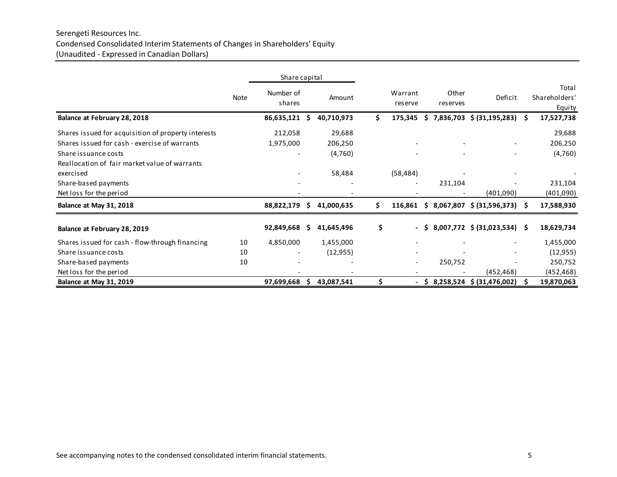# Serengeti Resources Inc. Condensed Consolidated Interim Statements of Changes in Shareholders' Equity (Unaudited - Expressed in Canadian Dollars)

|                                                     |      | Share capital       |    |            |    |                          |          |                          |                              |    |                                  |
|-----------------------------------------------------|------|---------------------|----|------------|----|--------------------------|----------|--------------------------|------------------------------|----|----------------------------------|
|                                                     | Note | Number of<br>shares |    | Amount     |    | Warrant<br>reserve       |          | Other<br>reserves        | Deficit                      |    | Total<br>Shareholders'<br>Equity |
| Balance at February 28, 2018                        |      | 86,635,121          | Ŝ. | 40,710,973 | Ś. | 175,345                  | S.       |                          | 7,836,703 \$ (31,195,283)    | -S | 17,527,738                       |
| Shares issued for acquisition of property interests |      | 212,058             |    | 29,688     |    |                          |          |                          |                              |    | 29,688                           |
| Shares issued for cash - exercise of warrants       |      | 1,975,000           |    | 206,250    |    |                          |          |                          |                              |    | 206,250                          |
| Share issuance costs                                |      |                     |    | (4,760)    |    |                          |          | $\overline{\phantom{a}}$ |                              |    | (4,760)                          |
| Reallocation of fair market value of warrants       |      |                     |    |            |    |                          |          |                          |                              |    |                                  |
| exercised                                           |      |                     |    | 58,484     |    | (58, 484)                |          |                          |                              |    |                                  |
| Share-based payments                                |      |                     |    |            |    |                          |          | 231,104                  |                              |    | 231,104                          |
| Net loss for the period                             |      |                     |    |            |    |                          |          | $\overline{\phantom{a}}$ | (401,090)                    |    | (401,090)                        |
| Balance at May 31, 2018                             |      | 88,822,179          | Ŝ. | 41,000,635 | Ś. | $116,861$ \$             |          |                          | 8,067,807 \$ (31,596,373) \$ |    | 17,588,930                       |
| Balance at February 28, 2019                        |      | 92,849,668          | S. | 41,645,496 | \$ | $\overline{\phantom{a}}$ | -S.      |                          | 8,007,772 \$ (31,023,534) \$ |    | 18,629,734                       |
| Shares issued for cash - flow-through financing     | 10   | 4,850,000           |    | 1,455,000  |    |                          |          |                          |                              |    | 1,455,000                        |
| Share issuance costs                                | 10   |                     |    | (12, 955)  |    |                          |          |                          |                              |    | (12, 955)                        |
| Share-based payments                                | 10   |                     |    |            |    |                          |          | 250,752                  |                              |    | 250,752                          |
| Net loss for the period                             |      |                     |    |            |    |                          |          |                          | (452, 468)                   |    | (452, 468)                       |
| Balance at May 31, 2019                             |      | 97,699,668          | s  | 43,087,541 | \$ |                          | <b>S</b> |                          | 8,258,524 \$ (31,476,002)    | S  | 19,870,063                       |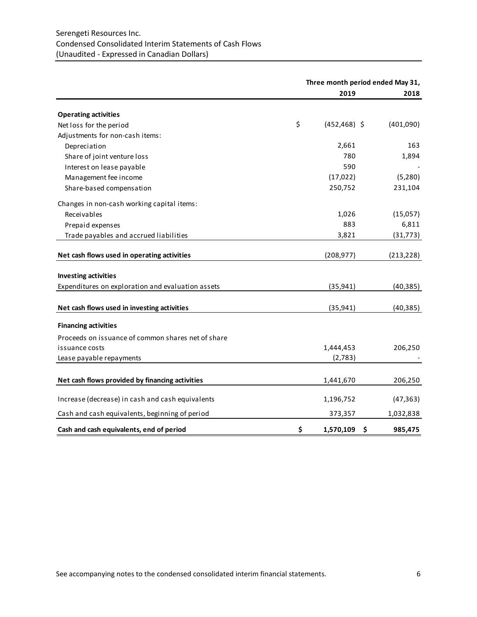# Serengeti Resources Inc. Condensed Consolidated Interim Statements of Cash Flows (Unaudited - Expressed in Canadian Dollars)

|                                                    | Three month period ended May 31, |                 |            |  |  |  |
|----------------------------------------------------|----------------------------------|-----------------|------------|--|--|--|
|                                                    |                                  | 2019            | 2018       |  |  |  |
| <b>Operating activities</b>                        |                                  |                 |            |  |  |  |
| Net loss for the period                            | \$                               | $(452, 468)$ \$ | (401,090)  |  |  |  |
| Adjustments for non-cash items:                    |                                  |                 |            |  |  |  |
| Depreciation                                       |                                  | 2,661           | 163        |  |  |  |
| Share of joint venture loss                        |                                  | 780             | 1,894      |  |  |  |
| Interest on lease payable                          |                                  | 590             |            |  |  |  |
| Management fee income                              |                                  | (17, 022)       | (5, 280)   |  |  |  |
| Share-based compensation                           |                                  | 250,752         | 231,104    |  |  |  |
| Changes in non-cash working capital items:         |                                  |                 |            |  |  |  |
| Receivables                                        |                                  | 1,026           | (15,057)   |  |  |  |
| Prepaid expenses                                   |                                  | 883             | 6,811      |  |  |  |
| Trade payables and accrued liabilities             |                                  | 3,821           | (31, 773)  |  |  |  |
| Net cash flows used in operating activities        |                                  | (208, 977)      | (213, 228) |  |  |  |
|                                                    |                                  |                 |            |  |  |  |
| <b>Investing activities</b>                        |                                  |                 |            |  |  |  |
| Expenditures on exploration and evaluation assets  |                                  | (35, 941)       | (40, 385)  |  |  |  |
| Net cash flows used in investing activities        |                                  | (35, 941)       | (40, 385)  |  |  |  |
| <b>Financing activities</b>                        |                                  |                 |            |  |  |  |
| Proceeds on issuance of common shares net of share |                                  |                 |            |  |  |  |
| issuance costs                                     |                                  | 1,444,453       | 206,250    |  |  |  |
| Lease payable repayments                           |                                  | (2,783)         |            |  |  |  |
|                                                    |                                  |                 |            |  |  |  |
| Net cash flows provided by financing activities    |                                  | 1,441,670       | 206,250    |  |  |  |
| Increase (decrease) in cash and cash equivalents   |                                  | 1,196,752       | (47, 363)  |  |  |  |
| Cash and cash equivalents, beginning of period     |                                  | 373,357         | 1,032,838  |  |  |  |
| Cash and cash equivalents, end of period           | \$                               | 1,570,109<br>\$ | 985,475    |  |  |  |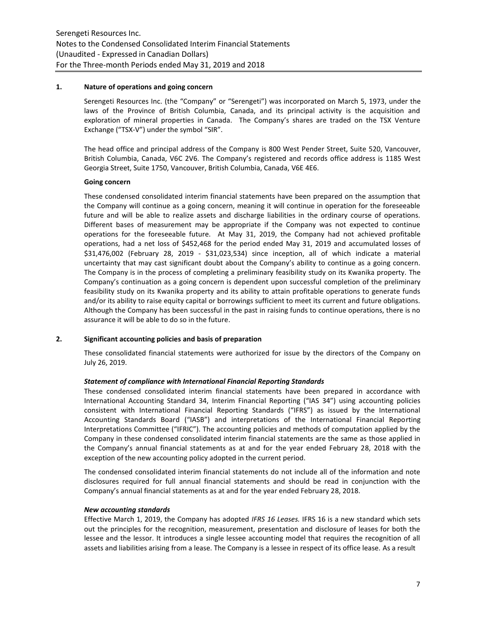#### **1. Nature of operations and going concern**

Serengeti Resources Inc. (the "Company" or "Serengeti") was incorporated on March 5, 1973, under the laws of the Province of British Columbia, Canada, and its principal activity is the acquisition and exploration of mineral properties in Canada. The Company's shares are traded on the TSX Venture Exchange ("TSX-V") under the symbol "SIR".

The head office and principal address of the Company is 800 West Pender Street, Suite 520, Vancouver, British Columbia, Canada, V6C 2V6. The Company's registered and records office address is 1185 West Georgia Street, Suite 1750, Vancouver, British Columbia, Canada, V6E 4E6.

# **Going concern**

These condensed consolidated interim financial statements have been prepared on the assumption that the Company will continue as a going concern, meaning it will continue in operation for the foreseeable future and will be able to realize assets and discharge liabilities in the ordinary course of operations. Different bases of measurement may be appropriate if the Company was not expected to continue operations for the foreseeable future. At May 31, 2019, the Company had not achieved profitable operations, had a net loss of \$452,468 for the period ended May 31, 2019 and accumulated losses of \$31,476,002 (February 28, 2019 - \$31,023,534) since inception, all of which indicate a material uncertainty that may cast significant doubt about the Company's ability to continue as a going concern. The Company is in the process of completing a preliminary feasibility study on its Kwanika property. The Company's continuation as a going concern is dependent upon successful completion of the preliminary feasibility study on its Kwanika property and its ability to attain profitable operations to generate funds and/or its ability to raise equity capital or borrowings sufficient to meet its current and future obligations. Although the Company has been successful in the past in raising funds to continue operations, there is no assurance it will be able to do so in the future.

# **2. Significant accounting policies and basis of preparation**

These consolidated financial statements were authorized for issue by the directors of the Company on July 26, 2019.

#### *Statement of compliance with International Financial Reporting Standards*

These condensed consolidated interim financial statements have been prepared in accordance with International Accounting Standard 34, Interim Financial Reporting ("IAS 34") using accounting policies consistent with International Financial Reporting Standards ("IFRS") as issued by the International Accounting Standards Board ("IASB") and interpretations of the International Financial Reporting Interpretations Committee ("IFRIC"). The accounting policies and methods of computation applied by the Company in these condensed consolidated interim financial statements are the same as those applied in the Company's annual financial statements as at and for the year ended February 28, 2018 with the exception of the new accounting policy adopted in the current period.

The condensed consolidated interim financial statements do not include all of the information and note disclosures required for full annual financial statements and should be read in conjunction with the Company's annual financial statements as at and for the year ended February 28, 2018.

#### *New accounting standards*

Effective March 1, 2019, the Company has adopted *IFRS 16 Leases.* IFRS 16 is a new standard which sets out the principles for the recognition, measurement, presentation and disclosure of leases for both the lessee and the lessor. It introduces a single lessee accounting model that requires the recognition of all assets and liabilities arising from a lease. The Company is a lessee in respect of its office lease. As a result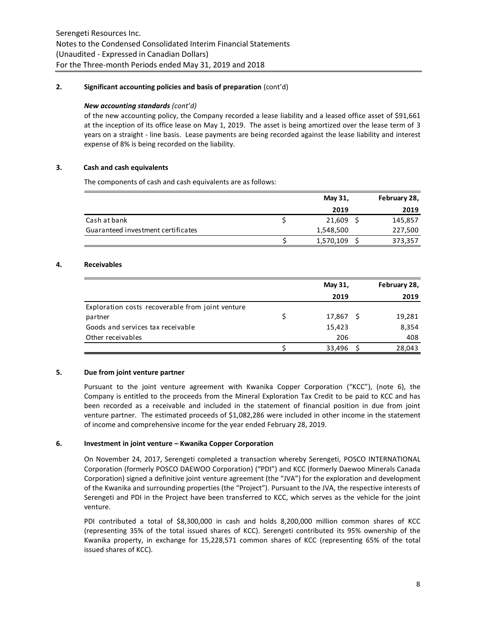# **2. Significant accounting policies and basis of preparation** (cont'd)

### *New accounting standards (cont'd)*

of the new accounting policy, the Company recorded a lease liability and a leased office asset of \$91,661 at the inception of its office lease on May 1, 2019. The asset is being amortized over the lease term of 3 years on a straight - line basis. Lease payments are being recorded against the lease liability and interest expense of 8% is being recorded on the liability.

### **3. Cash and cash equivalents**

The components of cash and cash equivalents are as follows:

|                                    | May 31,   | February 28, |
|------------------------------------|-----------|--------------|
|                                    | 2019      | 2019         |
| Cash at bank                       | 21,609    | 145,857      |
| Guaranteed investment certificates | 1,548,500 | 227,500      |
|                                    | 1,570,109 | 373,357      |

#### **4. Receivables**

|                                                  |   | May 31, |    | February 28, |
|--------------------------------------------------|---|---------|----|--------------|
|                                                  |   | 2019    |    | 2019         |
| Exploration costs recoverable from joint venture |   |         |    |              |
| partner                                          | S | 17,867  | -S | 19,281       |
| Goods and services tax receivable                |   | 15,423  |    | 8,354        |
| Other receivables                                |   | 206     |    | 408          |
|                                                  |   | 33,496  |    | 28,043       |

### **5. Due from joint venture partner**

Pursuant to the joint venture agreement with Kwanika Copper Corporation ("KCC"), (note 6), the Company is entitled to the proceeds from the Mineral Exploration Tax Credit to be paid to KCC and has been recorded as a receivable and included in the statement of financial position in due from joint venture partner. The estimated proceeds of \$1,082,286 were included in other income in the statement of income and comprehensive income for the year ended February 28, 2019.

# **6. Investment in joint venture – Kwanika Copper Corporation**

On November 24, 2017, Serengeti completed a transaction whereby Serengeti, POSCO INTERNATIONAL Corporation (formerly POSCO DAEWOO Corporation) ("PDI") and KCC (formerly Daewoo Minerals Canada Corporation) signed a definitive joint venture agreement (the "JVA") for the exploration and development of the Kwanika and surrounding properties (the "Project"). Pursuant to the JVA, the respective interests of Serengeti and PDI in the Project have been transferred to KCC, which serves as the vehicle for the joint venture.

PDI contributed a total of \$8,300,000 in cash and holds 8,200,000 million common shares of KCC (representing 35% of the total issued shares of KCC). Serengeti contributed its 95% ownership of the Kwanika property, in exchange for 15,228,571 common shares of KCC (representing 65% of the total issued shares of KCC).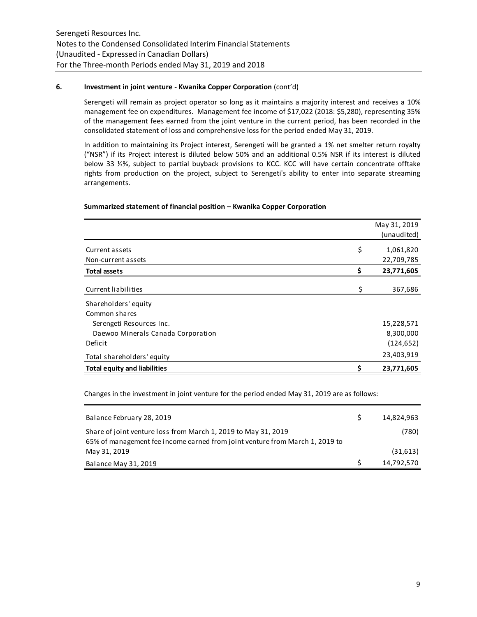### **6. Investment in joint venture - Kwanika Copper Corporation** (cont'd)

Serengeti will remain as project operator so long as it maintains a majority interest and receives a 10% management fee on expenditures. Management fee income of \$17,022 (2018: \$5,280), representing 35% of the management fees earned from the joint venture in the current period, has been recorded in the consolidated statement of loss and comprehensive loss for the period ended May 31, 2019.

In addition to maintaining its Project interest, Serengeti will be granted a 1% net smelter return royalty ("NSR") if its Project interest is diluted below 50% and an additional 0.5% NSR if its interest is diluted below 33 ⅓%, subject to partial buyback provisions to KCC. KCC will have certain concentrate offtake rights from production on the project, subject to Serengeti's ability to enter into separate streaming arrangements.

# **Summarized statement of financial position – Kwanika Copper Corporation**

|                                     | May 31, 2019<br>(unaudited) |
|-------------------------------------|-----------------------------|
| Current assets                      | \$<br>1,061,820             |
| Non-current assets                  | 22,709,785                  |
| <b>Total assets</b>                 | \$<br>23,771,605            |
| Current liabilities                 | \$<br>367,686               |
| Shareholders' equity                |                             |
| Common shares                       |                             |
| Serengeti Resources Inc.            | 15,228,571                  |
| Daewoo Minerals Canada Corporation  | 8,300,000                   |
| Deficit                             | (124, 652)                  |
| Total shareholders' equity          | 23,403,919                  |
| <b>Total equity and liabilities</b> | \$<br>23,771,605            |

Changes in the investment in joint venture for the period ended May 31, 2019 are as follows:

| Balance February 28, 2019                                                                                                                      | 14.824.963 |
|------------------------------------------------------------------------------------------------------------------------------------------------|------------|
| Share of joint venture loss from March 1, 2019 to May 31, 2019<br>65% of management fee income earned from joint venture from March 1, 2019 to | (780)      |
| May 31, 2019                                                                                                                                   | (31,613)   |
| Balance May 31, 2019                                                                                                                           | 14,792,570 |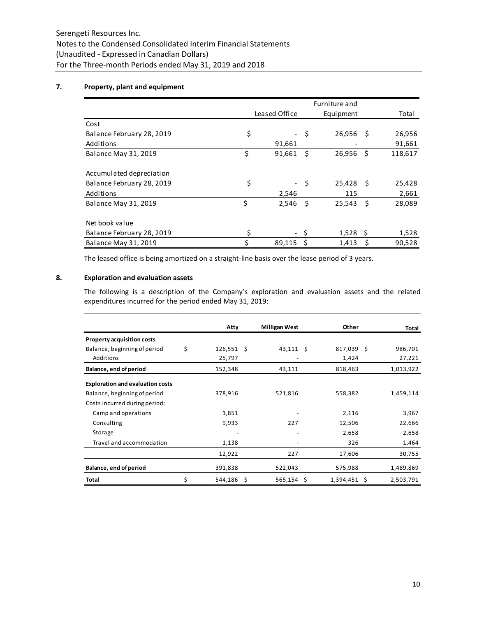# **7. Property, plant and equipment**

|                             |                                |      | Furniture and |      |         |
|-----------------------------|--------------------------------|------|---------------|------|---------|
|                             | Leased Office                  |      | Equipment     |      | Total   |
| Cost                        |                                |      |               |      |         |
| Balance February 28, 2019   | \$<br>$\overline{\phantom{a}}$ | -\$  | 26,956        | - \$ | 26,956  |
| Additions                   | 91,661                         |      |               |      | 91,661  |
| <b>Balance May 31, 2019</b> | \$<br>91,661                   | Ŝ.   | 26,956        | - \$ | 118,617 |
|                             |                                |      |               |      |         |
| Accumulated depreciation    |                                |      |               |      |         |
| Balance February 28, 2019   | \$                             | - \$ | $25,428$ \$   |      | 25,428  |
| Additions                   | 2,546                          |      | 115           |      | 2,661   |
| <b>Balance May 31, 2019</b> | \$<br>2,546                    | Ŝ.   | 25,543        | - Ś  | 28,089  |
|                             |                                |      |               |      |         |
| Net book value              |                                |      |               |      |         |
| Balance February 28, 2019   | \$                             |      | 1,528         | S    | 1,528   |
| <b>Balance May 31, 2019</b> | \$<br>89,115                   | \$   | 1,413         | \$   | 90,528  |

The leased office is being amortized on a straight-line basis over the lease period of 3 years.

# **8. Exploration and evaluation assets**

The following is a description of the Company's exploration and evaluation assets and the related expenditures incurred for the period ended May 31, 2019:

|                                         | Atty               |      | <b>Milligan West</b> |   | Other        |   | Total     |
|-----------------------------------------|--------------------|------|----------------------|---|--------------|---|-----------|
| <b>Property acquisition costs</b>       |                    |      |                      |   |              |   |           |
| Balance, beginning of period            | \$<br>$126,551$ \$ |      | $43,111$ \$          |   | $817,039$ \$ |   | 986,701   |
| Additions                               | 25,797             |      |                      |   | 1,424        |   | 27,221    |
| Balance, end of period                  | 152,348            |      | 43,111               |   | 818,463      |   | 1,013,922 |
| <b>Exploration and evaluation costs</b> |                    |      |                      |   |              |   |           |
| Balance, beginning of period            | 378,916            |      | 521,816              |   | 558,382      |   | 1,459,114 |
| Costs incurred during period:           |                    |      |                      |   |              |   |           |
| Camp and operations                     | 1,851              |      |                      |   | 2,116        |   | 3,967     |
| Consulting                              | 9,933              |      | 227                  |   | 12,506       |   | 22,666    |
| Storage                                 |                    |      |                      |   | 2,658        |   | 2,658     |
| Travel and accommodation                | 1,138              |      |                      |   | 326          |   | 1,464     |
|                                         | 12,922             |      | 227                  |   | 17,606       |   | 30,755    |
| Balance, end of period                  | 391,838            |      | 522,043              |   | 575,988      |   | 1,489,869 |
| Total                                   | \$<br>544,186      | - \$ | 565,154              | S | 1,394,451    | S | 2,503,791 |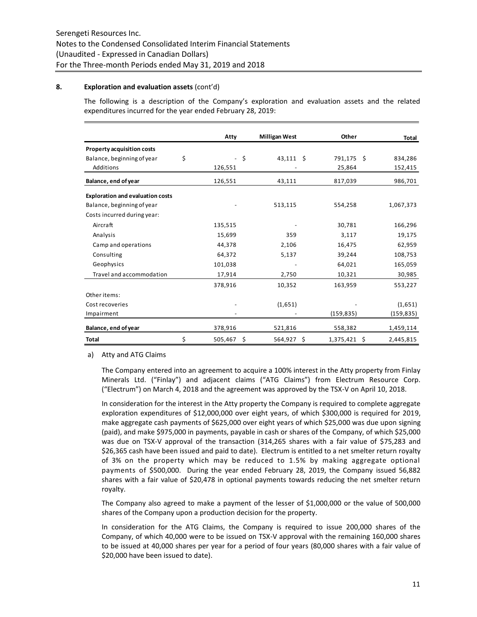### **8. Exploration and evaluation assets** (cont'd)

The following is a description of the Company's exploration and evaluation assets and the related expenditures incurred for the year ended February 28, 2019:

|                                         | Atty          |    | <b>Milligan West</b> | Other          | Total      |
|-----------------------------------------|---------------|----|----------------------|----------------|------------|
| Property acquisition costs              |               |    |                      |                |            |
| Balance, beginning of year              | \$            | S. | $43,111$ \$          | 791,175 \$     | 834,286    |
| Additions                               | 126,551       |    |                      | 25,864         | 152,415    |
| Balance, end of year                    | 126,551       |    | 43,111               | 817,039        | 986,701    |
| <b>Exploration and evaluation costs</b> |               |    |                      |                |            |
| Balance, beginning of year              |               |    | 513,115              | 554,258        | 1,067,373  |
| Costs incurred during year:             |               |    |                      |                |            |
| Aircraft                                | 135,515       |    |                      | 30,781         | 166,296    |
| Analysis                                | 15,699        |    | 359                  | 3,117          | 19,175     |
| Camp and operations                     | 44,378        |    | 2,106                | 16,475         | 62,959     |
| Consulting                              | 64,372        |    | 5,137                | 39,244         | 108,753    |
| Geophysics                              | 101,038       |    |                      | 64,021         | 165,059    |
| Travel and accommodation                | 17,914        |    | 2,750                | 10,321         | 30,985     |
|                                         | 378,916       |    | 10,352               | 163,959        | 553,227    |
| Other items:                            |               |    |                      |                |            |
| Cost recoveries                         |               |    | (1,651)              |                | (1,651)    |
| Impairment                              |               |    |                      | (159, 835)     | (159, 835) |
| Balance, end of year                    | 378,916       |    | 521,816              | 558,382        | 1,459,114  |
| <b>Total</b>                            | \$<br>505,467 | Ŝ. | 564,927 \$           | $1,375,421$ \$ | 2,445,815  |

a) Atty and ATG Claims

The Company entered into an agreement to acquire a 100% interest in the Atty property from Finlay Minerals Ltd. ("Finlay") and adjacent claims ("ATG Claims") from Electrum Resource Corp. ("Electrum") on March 4, 2018 and the agreement was approved by the TSX-V on April 10, 2018.

In consideration for the interest in the Atty property the Company is required to complete aggregate exploration expenditures of \$12,000,000 over eight years, of which \$300,000 is required for 2019, make aggregate cash payments of \$625,000 over eight years of which \$25,000 was due upon signing (paid), and make \$975,000 in payments, payable in cash or shares of the Company, of which \$25,000 was due on TSX-V approval of the transaction (314,265 shares with a fair value of \$75,283 and \$26,365 cash have been issued and paid to date). Electrum is entitled to a net smelter return royalty of 3% on the property which may be reduced to 1.5% by making aggregate optional payments of \$500,000. During the year ended February 28, 2019, the Company issued 56,882 shares with a fair value of \$20,478 in optional payments towards reducing the net smelter return royalty.

The Company also agreed to make a payment of the lesser of \$1,000,000 or the value of 500,000 shares of the Company upon a production decision for the property.

In consideration for the ATG Claims, the Company is required to issue 200,000 shares of the Company, of which 40,000 were to be issued on TSX-V approval with the remaining 160,000 shares to be issued at 40,000 shares per year for a period of four years (80,000 shares with a fair value of \$20,000 have been issued to date).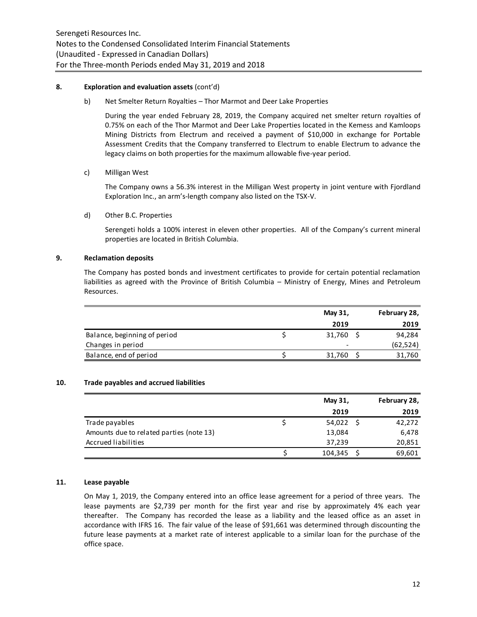#### **8. Exploration and evaluation assets** (cont'd)

b) Net Smelter Return Royalties – Thor Marmot and Deer Lake Properties

During the year ended February 28, 2019, the Company acquired net smelter return royalties of 0.75% on each of the Thor Marmot and Deer Lake Properties located in the Kemess and Kamloops Mining Districts from Electrum and received a payment of \$10,000 in exchange for Portable Assessment Credits that the Company transferred to Electrum to enable Electrum to advance the legacy claims on both properties for the maximum allowable five-year period.

### c) Milligan West

The Company owns a 56.3% interest in the Milligan West property in joint venture with Fjordland Exploration Inc., an arm's-length company also listed on the TSX-V.

### d) Other B.C. Properties

Serengeti holds a 100% interest in eleven other properties. All of the Company's current mineral properties are located in British Columbia.

### **9. Reclamation deposits**

The Company has posted bonds and investment certificates to provide for certain potential reclamation liabilities as agreed with the Province of British Columbia – Ministry of Energy, Mines and Petroleum Resources.

|                              | May 31,                  | February 28, |
|------------------------------|--------------------------|--------------|
|                              | 2019                     | 2019         |
| Balance, beginning of period | 31,760                   | 94,284       |
| Changes in period            | $\overline{\phantom{a}}$ | (62, 524)    |
| Balance, end of period       | 31,760                   | 31,760       |

#### **10. Trade payables and accrued liabilities**

|                                          | May 31, | February 28, |
|------------------------------------------|---------|--------------|
|                                          | 2019    | 2019         |
| Trade payables                           | 54,022  | 42,272       |
| Amounts due to related parties (note 13) | 13,084  | 6,478        |
| Accrued liabilities                      | 37.239  | 20,851       |
|                                          | 104,345 | 69,601       |

#### **11. Lease payable**

On May 1, 2019, the Company entered into an office lease agreement for a period of three years. The lease payments are \$2,739 per month for the first year and rise by approximately 4% each year thereafter. The Company has recorded the lease as a liability and the leased office as an asset in accordance with IFRS 16. The fair value of the lease of \$91,661 was determined through discounting the future lease payments at a market rate of interest applicable to a similar loan for the purchase of the office space.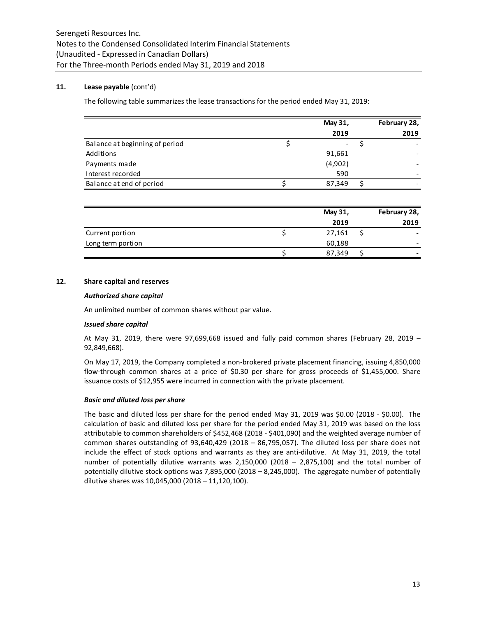# **11. Lease payable** (cont'd)

The following table summarizes the lease transactions for the period ended May 31, 2019:

|                                | May 31, | February 28, |
|--------------------------------|---------|--------------|
|                                | 2019    | 2019         |
| Balance at beginning of period |         |              |
| Additions                      | 91,661  |              |
| Payments made                  | (4,902) |              |
| Interest recorded              | 590     |              |
| Balance at end of period       | 87,349  |              |

|                   | May 31, | February 28, |
|-------------------|---------|--------------|
|                   | 2019    | 2019         |
| Current portion   | 27,161  |              |
| Long term portion | 60,188  |              |
|                   | 87,349  |              |

### **12. Share capital and reserves**

#### *Authorized share capital*

An unlimited number of common shares without par value.

#### *Issued share capital*

At May 31, 2019, there were 97,699,668 issued and fully paid common shares (February 28, 2019 – 92,849,668).

On May 17, 2019, the Company completed a non-brokered private placement financing, issuing 4,850,000 flow-through common shares at a price of \$0.30 per share for gross proceeds of \$1,455,000. Share issuance costs of \$12,955 were incurred in connection with the private placement.

#### *Basic and diluted loss per share*

The basic and diluted loss per share for the period ended May 31, 2019 was \$0.00 (2018 - \$0.00). The calculation of basic and diluted loss per share for the period ended May 31, 2019 was based on the loss attributable to common shareholders of \$452,468 (2018 - \$401,090) and the weighted average number of common shares outstanding of 93,640,429 (2018 – 86,795,057). The diluted loss per share does not include the effect of stock options and warrants as they are anti-dilutive. At May 31, 2019, the total number of potentially dilutive warrants was 2,150,000 (2018 – 2,875,100) and the total number of potentially dilutive stock options was 7,895,000 (2018 – 8,245,000). The aggregate number of potentially dilutive shares was 10,045,000 (2018 – 11,120,100).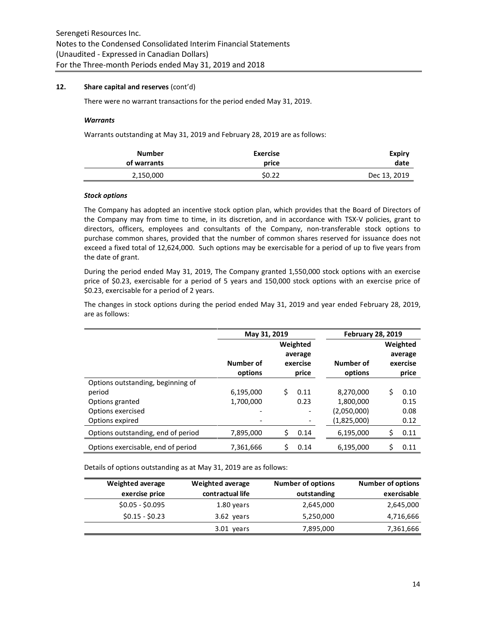### **12. Share capital and reserves** (cont'd)

There were no warrant transactions for the period ended May 31, 2019.

#### *Warrants*

Warrants outstanding at May 31, 2019 and February 28, 2019 are as follows:

| Expiry       | <b>Exercise</b> | <b>Number</b> |
|--------------|-----------------|---------------|
| date         | price           | of warrants   |
| Dec 13, 2019 | \$0.22          | 2,150,000     |

#### *Stock options*

The Company has adopted an incentive stock option plan, which provides that the Board of Directors of the Company may from time to time, in its discretion, and in accordance with TSX-V policies, grant to directors, officers, employees and consultants of the Company, non-transferable stock options to purchase common shares, provided that the number of common shares reserved for issuance does not exceed a fixed total of 12,624,000. Such options may be exercisable for a period of up to five years from the date of grant.

During the period ended May 31, 2019, The Company granted 1,550,000 stock options with an exercise price of \$0.23, exercisable for a period of 5 years and 150,000 stock options with an exercise price of \$0.23, exercisable for a period of 2 years.

The changes in stock options during the period ended May 31, 2019 and year ended February 28, 2019, are as follows:

|                                    | May 31, 2019 |    |                                 | <b>February 28, 2019</b> |    |                                 |  |
|------------------------------------|--------------|----|---------------------------------|--------------------------|----|---------------------------------|--|
|                                    | Number of    |    | Weighted<br>average<br>exercise | Number of                |    | Weighted<br>average<br>exercise |  |
|                                    | options      |    | price                           | options                  |    | price                           |  |
| Options outstanding, beginning of  |              |    |                                 |                          |    |                                 |  |
| period                             | 6,195,000    | Ś. | 0.11                            | 8,270,000                | Ś  | 0.10                            |  |
| Options granted                    | 1,700,000    |    | 0.23                            | 1,800,000                |    | 0.15                            |  |
| Options exercised                  |              |    |                                 | (2,050,000)              |    | 0.08                            |  |
| Options expired                    |              |    |                                 | (1,825,000)              |    | 0.12                            |  |
| Options outstanding, end of period | 7,895,000    | Ś  | 0.14                            | 6,195,000                | \$ | 0.11                            |  |
| Options exercisable, end of period | 7,361,666    | Ŝ. | 0.14                            | 6,195,000                | \$ | 0.11                            |  |

Details of options outstanding as at May 31, 2019 are as follows:

| <b>Weighted average</b> | <b>Weighted average</b> | <b>Number of options</b> | <b>Number of options</b> |
|-------------------------|-------------------------|--------------------------|--------------------------|
| exercise price          | contractual life        | outstanding              | exercisable              |
| $$0.05 - $0.095$        | 1.80 years              | 2,645,000                | 2,645,000                |
| $$0.15 - $0.23$$        | 3.62 years              | 5,250,000                | 4,716,666                |
|                         | 3.01 years              | 7,895,000                | 7,361,666                |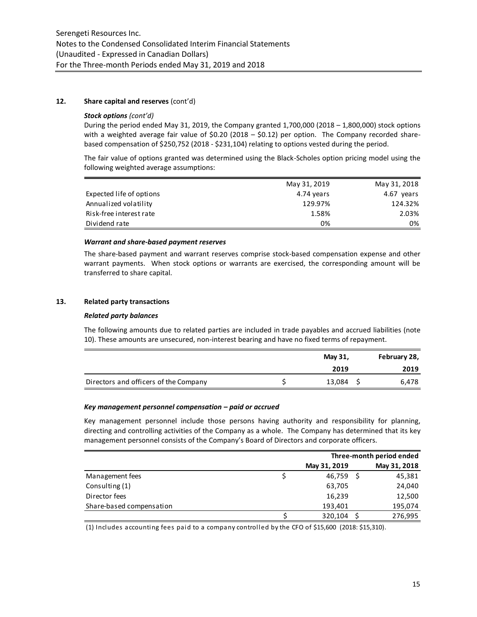### **12. Share capital and reserves** (cont'd)

#### *Stock options (cont'd)*

During the period ended May 31, 2019, the Company granted  $1,700,000$  (2018 – 1,800,000) stock options with a weighted average fair value of \$0.20 (2018  $-$  \$0.12) per option. The Company recorded sharebased compensation of \$250,752 (2018 - \$231,104) relating to options vested during the period.

The fair value of options granted was determined using the Black-Scholes option pricing model using the following weighted average assumptions:

|                          | May 31, 2019 | May 31, 2018 |
|--------------------------|--------------|--------------|
| Expected life of options | 4.74 years   | 4.67 years   |
| Annualized volatility    | 129.97%      | 124.32%      |
| Risk-free interest rate  | 1.58%        | 2.03%        |
| Dividend rate            | 0%           | 0%           |
|                          |              |              |

# *Warrant and share-based payment reserves*

The share-based payment and warrant reserves comprise stock-based compensation expense and other warrant payments. When stock options or warrants are exercised, the corresponding amount will be transferred to share capital.

# **13. Related party transactions**

#### *Related party balances*

The following amounts due to related parties are included in trade payables and accrued liabilities (note 10). These amounts are unsecured, non-interest bearing and have no fixed terms of repayment.

|                                       | May 31, | February 28, |
|---------------------------------------|---------|--------------|
|                                       | 2019    | 2019         |
| Directors and officers of the Company | 13,084  | 6.478        |

#### *Key management personnel compensation – paid or accrued*

Key management personnel include those persons having authority and responsibility for planning, directing and controlling activities of the Company as a whole. The Company has determined that its key management personnel consists of the Company's Board of Directors and corporate officers.

|                          | Three-month period ended |  |              |
|--------------------------|--------------------------|--|--------------|
|                          | May 31, 2019             |  | May 31, 2018 |
| Management fees          | 46,759                   |  | 45,381       |
| Consulting (1)           | 63,705                   |  | 24,040       |
| Director fees            | 16,239                   |  | 12,500       |
| Share-based compensation | 193,401                  |  | 195,074      |
|                          | 320,104                  |  | 276,995      |

(1) Includes accounting fees paid to a company controlled by the CFO of \$15,600 (2018: \$15,310).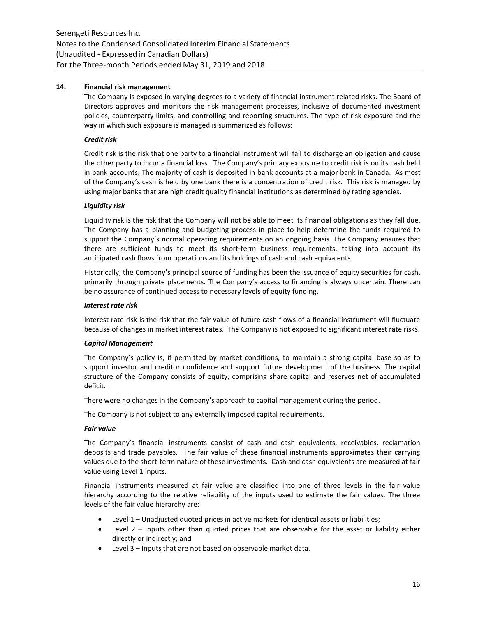# **14. Financial risk management**

The Company is exposed in varying degrees to a variety of financial instrument related risks. The Board of Directors approves and monitors the risk management processes, inclusive of documented investment policies, counterparty limits, and controlling and reporting structures. The type of risk exposure and the way in which such exposure is managed is summarized as follows:

# *Credit risk*

Credit risk is the risk that one party to a financial instrument will fail to discharge an obligation and cause the other party to incur a financial loss. The Company's primary exposure to credit risk is on its cash held in bank accounts. The majority of cash is deposited in bank accounts at a major bank in Canada. As most of the Company's cash is held by one bank there is a concentration of credit risk. This risk is managed by using major banks that are high credit quality financial institutions as determined by rating agencies.

# *Liquidity risk*

Liquidity risk is the risk that the Company will not be able to meet its financial obligations as they fall due. The Company has a planning and budgeting process in place to help determine the funds required to support the Company's normal operating requirements on an ongoing basis. The Company ensures that there are sufficient funds to meet its short-term business requirements, taking into account its anticipated cash flows from operations and its holdings of cash and cash equivalents.

Historically, the Company's principal source of funding has been the issuance of equity securities for cash, primarily through private placements. The Company's access to financing is always uncertain. There can be no assurance of continued access to necessary levels of equity funding.

# *Interest rate risk*

Interest rate risk is the risk that the fair value of future cash flows of a financial instrument will fluctuate because of changes in market interest rates. The Company is not exposed to significant interest rate risks.

# *Capital Management*

The Company's policy is, if permitted by market conditions, to maintain a strong capital base so as to support investor and creditor confidence and support future development of the business. The capital structure of the Company consists of equity, comprising share capital and reserves net of accumulated deficit.

There were no changes in the Company's approach to capital management during the period.

The Company is not subject to any externally imposed capital requirements.

# *Fair value*

The Company's financial instruments consist of cash and cash equivalents, receivables, reclamation deposits and trade payables. The fair value of these financial instruments approximates their carrying values due to the short-term nature of these investments. Cash and cash equivalents are measured at fair value using Level 1 inputs.

Financial instruments measured at fair value are classified into one of three levels in the fair value hierarchy according to the relative reliability of the inputs used to estimate the fair values. The three levels of the fair value hierarchy are:

- Level 1 Unadjusted quoted prices in active markets for identical assets or liabilities;
- Level 2 Inputs other than quoted prices that are observable for the asset or liability either directly or indirectly; and
- Level 3 Inputs that are not based on observable market data.